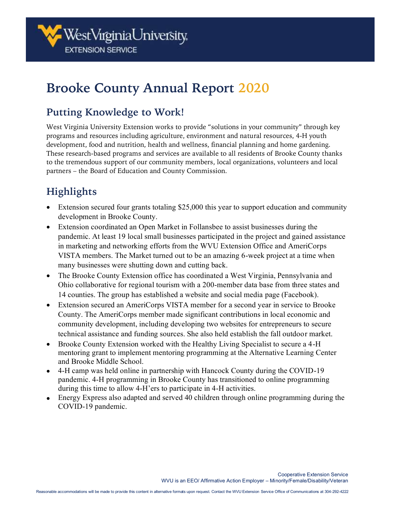# **Brooke County Annual Report 2020**

## **Putting Knowledge to Work!**

West Virginia University Extension works to provide "solutions in your community" through key programs and resources including agriculture, environment and natural resources, 4-H youth development, food and nutrition, health and wellness, financial planning and home gardening. These research-based programs and services are available to all residents of Brooke County thanks to the tremendous support of our community members, local organizations, volunteers and local partners – the Board of Education and County Commission.

## **Highlights**

- Extension secured four grants totaling \$25,000 this year to support education and community development in Brooke County.
- Extension coordinated an Open Market in Follansbee to assist businesses during the pandemic. At least 19 local small businesses participated in the project and gained assistance in marketing and networking efforts from the WVU Extension Office and AmeriCorps VISTA members. The Market turned out to be an amazing 6-week project at a time when many businesses were shutting down and cutting back.
- The Brooke County Extension office has coordinated a West Virginia, Pennsylvania and Ohio collaborative for regional tourism with a 200-member data base from three states and 14 counties. The group has established a website and social media page (Facebook).
- Extension secured an AmeriCorps VISTA member for a second year in service to Brooke County. The AmeriCorps member made significant contributions in local economic and community development, including developing two websites for entrepreneurs to secure technical assistance and funding sources. She also held establish the fall outdoor market.
- Brooke County Extension worked with the Healthy Living Specialist to secure a 4-H mentoring grant to implement mentoring programming at the Alternative Learning Center and Brooke Middle School.
- 4-H camp was held online in partnership with Hancock County during the COVID-19 pandemic. 4-H programming in Brooke County has transitioned to online programming during this time to allow 4-H'ers to participate in 4-H activities.
- Energy Express also adapted and served 40 children through online programming during the COVID-19 pandemic.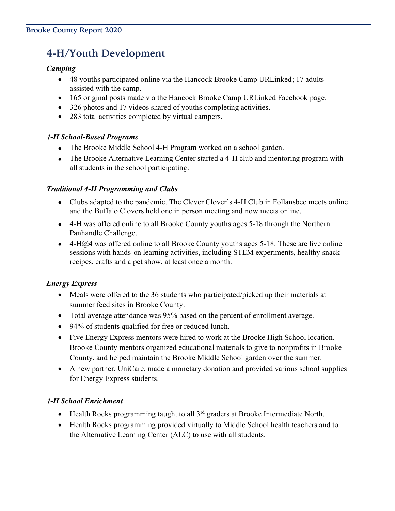## **4-H/Youth Development**

#### *Camping*

- 48 youths participated online via the Hancock Brooke Camp URLinked; 17 adults assisted with the camp.
- 165 original posts made via the Hancock Brooke Camp URLinked Facebook page.
- 326 photos and 17 videos shared of youths completing activities.
- 283 total activities completed by virtual campers.

#### *4-H School-Based Programs*

- The Brooke Middle School 4-H Program worked on a school garden.
- The Brooke Alternative Learning Center started a 4-H club and mentoring program with all students in the school participating.

#### *Traditional 4-H Programming and Clubs*

- Clubs adapted to the pandemic. The Clever Clover's 4-H Club in Follansbee meets online and the Buffalo Clovers held one in person meeting and now meets online.
- 4-H was offered online to all Brooke County youths ages 5-18 through the Northern Panhandle Challenge.
- 4-H $\hat{\omega}$ 4 was offered online to all Brooke County youths ages 5-18. These are live online sessions with hands-on learning activities, including STEM experiments, healthy snack recipes, crafts and a pet show, at least once a month.

#### *Energy Express*

- Meals were offered to the 36 students who participated/picked up their materials at summer feed sites in Brooke County.
- Total average attendance was 95% based on the percent of enrollment average.
- 94% of students qualified for free or reduced lunch.
- Five Energy Express mentors were hired to work at the Brooke High School location. Brooke County mentors organized educational materials to give to nonprofits in Brooke County, and helped maintain the Brooke Middle School garden over the summer.
- A new partner, UniCare, made a monetary donation and provided various school supplies for Energy Express students.

#### *4-H School Enrichment*

- Health Rocks programming taught to all  $3<sup>rd</sup>$  graders at Brooke Intermediate North.
- Health Rocks programming provided virtually to Middle School health teachers and to the Alternative Learning Center (ALC) to use with all students.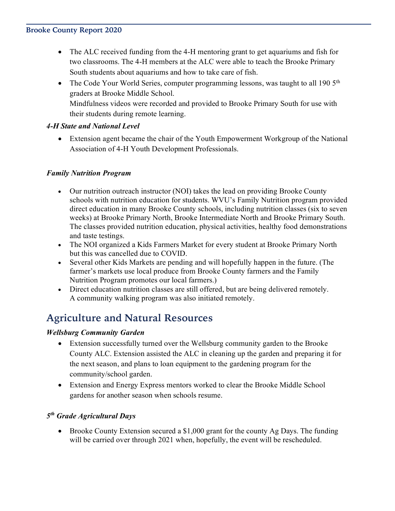- The ALC received funding from the 4-H mentoring grant to get aquariums and fish for two classrooms. The 4-H members at the ALC were able to teach the Brooke Primary South students about aquariums and how to take care of fish.
- The Code Your World Series, computer programming lessons, was taught to all 190 5<sup>th</sup> graders at Brooke Middle School. Mindfulness videos were recorded and provided to Brooke Primary South for use with their students during remote learning.

#### *4-H State and National Level*

• Extension agent became the chair of the Youth Empowerment Workgroup of the National Association of 4-H Youth Development Professionals.

#### *Family Nutrition Program*

- Our nutrition outreach instructor (NOI) takes the lead on providing Brooke County schools with nutrition education for students. WVU's Family Nutrition program provided direct education in many Brooke County schools, including nutrition classes (six to seven weeks) at Brooke Primary North, Brooke Intermediate North and Brooke Primary South. The classes provided nutrition education, physical activities, healthy food demonstrations and taste testings.
- The NOI organized a Kids Farmers Market for every student at Brooke Primary North but this was cancelled due to COVID.
- Several other Kids Markets are pending and will hopefully happen in the future. (The farmer's markets use local produce from Brooke County farmers and the Family Nutrition Program promotes our local farmers.)
- Direct education nutrition classes are still offered, but are being delivered remotely. A community walking program was also initiated remotely.

## **Agriculture and Natural Resources**

#### *Wellsburg Community Garden*

- Extension successfully turned over the Wellsburg community garden to the Brooke County ALC. Extension assisted the ALC in cleaning up the garden and preparing it for the next season, and plans to loan equipment to the gardening program for the community/school garden.
- Extension and Energy Express mentors worked to clear the Brooke Middle School gardens for another season when schools resume.

#### *5 th Grade Agricultural Days*

• Brooke County Extension secured a \$1,000 grant for the county Ag Days. The funding will be carried over through 2021 when, hopefully, the event will be rescheduled.